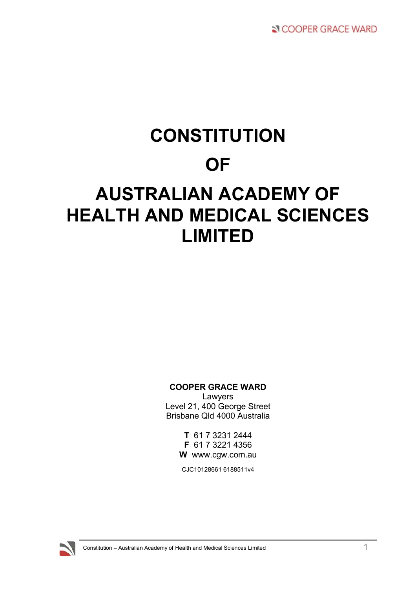# **CONSTITUTION OF AUSTRALIAN ACADEMY OF HEALTH AND MEDICAL SCIENCES LIMITED**

# **COOPER GRACE WARD**

Lawyers Level 21, 400 George Street Brisbane Qld 4000 Australia

> **T** 61 7 3231 2444 **F** 61 7 3221 4356 **W** www.cgw.com.au

CJC10128661 6188511v4

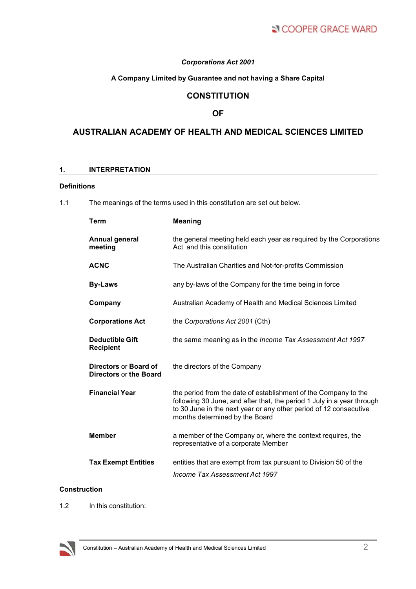# *Corporations Act 2001*

# **A Company Limited by Guarantee and not having a Share Capital**

# **CONSTITUTION**

# **OF**

# **AUSTRALIAN ACADEMY OF HEALTH AND MEDICAL SCIENCES LIMITED**

# **1. INTERPRETATION**

# **Definitions**

1.1 The meanings of the terms used in this constitution are set out below.

| Term                                            | <b>Meaning</b>                                                                                                                                                                                                                                   |
|-------------------------------------------------|--------------------------------------------------------------------------------------------------------------------------------------------------------------------------------------------------------------------------------------------------|
| <b>Annual general</b><br>meeting                | the general meeting held each year as required by the Corporations<br>Act and this constitution                                                                                                                                                  |
| <b>ACNC</b>                                     | The Australian Charities and Not-for-profits Commission                                                                                                                                                                                          |
| <b>By-Laws</b>                                  | any by-laws of the Company for the time being in force                                                                                                                                                                                           |
| Company                                         | Australian Academy of Health and Medical Sciences Limited                                                                                                                                                                                        |
| <b>Corporations Act</b>                         | the Corporations Act 2001 (Cth)                                                                                                                                                                                                                  |
| <b>Deductible Gift</b><br><b>Recipient</b>      | the same meaning as in the Income Tax Assessment Act 1997                                                                                                                                                                                        |
| Directors or Board of<br>Directors or the Board | the directors of the Company                                                                                                                                                                                                                     |
| <b>Financial Year</b>                           | the period from the date of establishment of the Company to the<br>following 30 June, and after that, the period 1 July in a year through<br>to 30 June in the next year or any other period of 12 consecutive<br>months determined by the Board |
| <b>Member</b>                                   | a member of the Company or, where the context requires, the<br>representative of a corporate Member                                                                                                                                              |
| <b>Tax Exempt Entities</b>                      | entities that are exempt from tax pursuant to Division 50 of the<br>Income Tax Assessment Act 1997                                                                                                                                               |

# **Construction**

1.2 In this constitution:

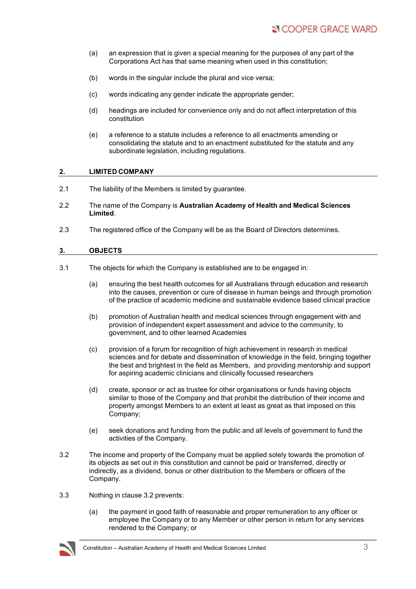- (a) an expression that is given a special meaning for the purposes of any part of the Corporations Act has that same meaning when used in this constitution;
- (b) words in the singular include the plural and vice versa;
- (c) words indicating any gender indicate the appropriate gender;
- (d) headings are included for convenience only and do not affect interpretation of this constitution
- (e) a reference to a statute includes a reference to all enactments amending or consolidating the statute and to an enactment substituted for the statute and any subordinate legislation, including regulations.

#### **2. LIMITED COMPANY**

- 2.1 The liability of the Members is limited by guarantee.
- 2.2 The name of the Company is **Australian Academy of Health and Medical Sciences Limited**.
- 2.3 The registered office of the Company will be as the Board of Directors determines.

#### **3. OBJECTS**

- 3.1 The objects for which the Company is established are to be engaged in:
	- (a) ensuring the best health outcomes for all Australians through education and research into the causes, prevention or cure of disease in human beings and through promotion of the practice of academic medicine and sustainable evidence based clinical practice
	- (b) promotion of Australian health and medical sciences through engagement with and provision of independent expert assessment and advice to the community, to government, and to other learned Academies
	- (c) provision of a forum for recognition of high achievement in research in medical sciences and for debate and dissemination of knowledge in the field, bringing together the best and brightest in the field as Members, and providing mentorship and support for aspiring academic clinicians and clinically focussed researchers
	- (d) create, sponsor or act as trustee for other organisations or funds having objects similar to those of the Company and that prohibit the distribution of their income and property amongst Members to an extent at least as great as that imposed on this Company;
	- (e) seek donations and funding from the public and all levels of government to fund the activities of the Company.
- 3.2 The income and property of the Company must be applied solely towards the promotion of its objects as set out in this constitution and cannot be paid or transferred, directly or indirectly, as a dividend, bonus or other distribution to the Members or officers of the Company.
- 3.3 Nothing in clause 3.2 prevents:
	- (a) the payment in good faith of reasonable and proper remuneration to any officer or employee the Company or to any Member or other person in return for any services rendered to the Company; or

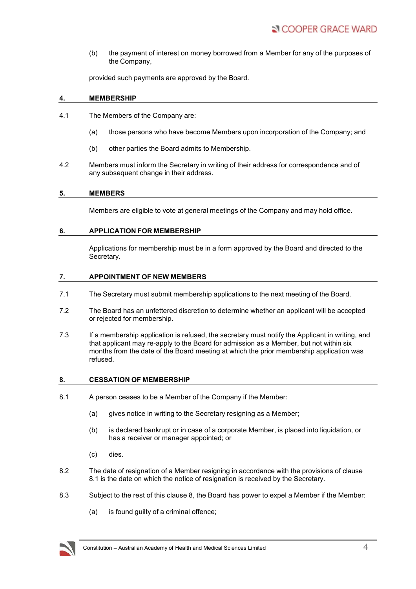(b) the payment of interest on money borrowed from a Member for any of the purposes of the Company,

provided such payments are approved by the Board.

## **4. MEMBERSHIP**

- 4.1 The Members of the Company are:
	- (a) those persons who have become Members upon incorporation of the Company; and
	- (b) other parties the Board admits to Membership.
- 4.2 Members must inform the Secretary in writing of their address for correspondence and of any subsequent change in their address.

#### **5. MEMBERS**

Members are eligible to vote at general meetings of the Company and may hold office.

#### **6. APPLICATION FOR MEMBERSHIP**

Applications for membership must be in a form approved by the Board and directed to the Secretary.

#### **7. APPOINTMENT OF NEW MEMBERS**

- 7.1 The Secretary must submit membership applications to the next meeting of the Board.
- 7.2 The Board has an unfettered discretion to determine whether an applicant will be accepted or rejected for membership.
- 7.3 If a membership application is refused, the secretary must notify the Applicant in writing, and that applicant may re-apply to the Board for admission as a Member, but not within six months from the date of the Board meeting at which the prior membership application was refused.

#### **8. CESSATION OF MEMBERSHIP**

- 8.1 A person ceases to be a Member of the Company if the Member:
	- (a) gives notice in writing to the Secretary resigning as a Member;
	- (b) is declared bankrupt or in case of a corporate Member, is placed into liquidation, or has a receiver or manager appointed; or
	- (c) dies.
- 8.2 The date of resignation of a Member resigning in accordance with the provisions of clause 8.1 is the date on which the notice of resignation is received by the Secretary.
- 8.3 Subject to the rest of this clause 8, the Board has power to expel a Member if the Member:
	- (a) is found guilty of a criminal offence;

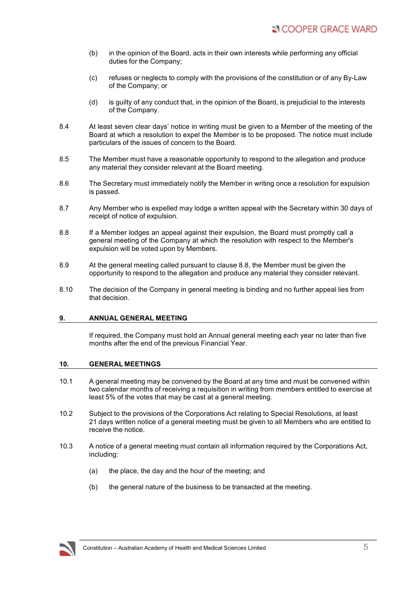- (b) in the opinion of the Board, acts in their own interests while performing any official duties for the Company;
- (c) refuses or neglects to comply with the provisions of the constitution or of any By-Law of the Company; or
- (d) is guilty of any conduct that, in the opinion of the Board, is prejudicial to the interests of the Company.
- 8.4 At least seven clear days' notice in writing must be given to a Member of the meeting of the Board at which a resolution to expel the Member is to be proposed. The notice must include particulars of the issues of concern to the Board.
- 8.5 The Member must have a reasonable opportunity to respond to the allegation and produce any material they consider relevant at the Board meeting.
- 8.6 The Secretary must immediately notify the Member in writing once a resolution for expulsion is passed.
- 8.7 Any Member who is expelled may lodge a written appeal with the Secretary within 30 days of receipt of notice of expulsion.
- 8.8 If a Member lodges an appeal against their expulsion, the Board must promptly call a general meeting of the Company at which the resolution with respect to the Member's expulsion will be voted upon by Members.
- 8.9 At the general meeting called pursuant to clause 8.8, the Member must be given the opportunity to respond to the allegation and produce any material they consider relevant.
- 8.10 The decision of the Company in general meeting is binding and no further appeal lies from that decision.

# **9. ANNUAL GENERAL MEETING**

If required, the Company must hold an Annual general meeting each year no later than five months after the end of the previous Financial Year.

#### **10. GENERAL MEETINGS**

- 10.1 A general meeting may be convened by the Board at any time and must be convened within two calendar months of receiving a requisition in writing from members entitled to exercise at least 5% of the votes that may be cast at a general meeting.
- 10.2 Subject to the provisions of the Corporations Act relating to Special Resolutions, at least 21 days written notice of a general meeting must be given to all Members who are entitled to receive the notice.
- 10.3 A notice of a general meeting must contain all information required by the Corporations Act, including:
	- (a) the place, the day and the hour of the meeting; and
	- (b) the general nature of the business to be transacted at the meeting.

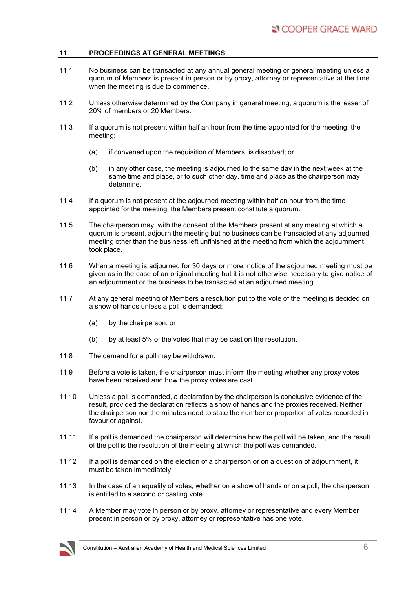## **11. PROCEEDINGS AT GENERAL MEETINGS**

- 11.1 No business can be transacted at any annual general meeting or general meeting unless a quorum of Members is present in person or by proxy, attorney or representative at the time when the meeting is due to commence.
- 11.2 Unless otherwise determined by the Company in general meeting, a quorum is the lesser of 20% of members or 20 Members.
- 11.3 If a quorum is not present within half an hour from the time appointed for the meeting, the meeting:
	- (a) if convened upon the requisition of Members, is dissolved; or
	- (b) in any other case, the meeting is adjourned to the same day in the next week at the same time and place, or to such other day, time and place as the chairperson may determine.
- 11.4 If a quorum is not present at the adjourned meeting within half an hour from the time appointed for the meeting, the Members present constitute a quorum.
- 11.5 The chairperson may, with the consent of the Members present at any meeting at which a quorum is present, adjourn the meeting but no business can be transacted at any adjourned meeting other than the business left unfinished at the meeting from which the adjournment took place.
- 11.6 When a meeting is adjourned for 30 days or more, notice of the adjourned meeting must be given as in the case of an original meeting but it is not otherwise necessary to give notice of an adjournment or the business to be transacted at an adjourned meeting.
- 11.7 At any general meeting of Members a resolution put to the vote of the meeting is decided on a show of hands unless a poll is demanded:
	- (a) by the chairperson; or
	- (b) by at least 5% of the votes that may be cast on the resolution.
- 11.8 The demand for a poll may be withdrawn.
- 11.9 Before a vote is taken, the chairperson must inform the meeting whether any proxy votes have been received and how the proxy votes are cast.
- 11.10 Unless a poll is demanded, a declaration by the chairperson is conclusive evidence of the result, provided the declaration reflects a show of hands and the proxies received. Neither the chairperson nor the minutes need to state the number or proportion of votes recorded in favour or against.
- 11.11 If a poll is demanded the chairperson will determine how the poll will be taken, and the result of the poll is the resolution of the meeting at which the poll was demanded.
- 11.12 If a poll is demanded on the election of a chairperson or on a question of adjournment, it must be taken immediately.
- 11.13 In the case of an equality of votes, whether on a show of hands or on a poll, the chairperson is entitled to a second or casting vote.
- 11.14 A Member may vote in person or by proxy, attorney or representative and every Member present in person or by proxy, attorney or representative has one vote.

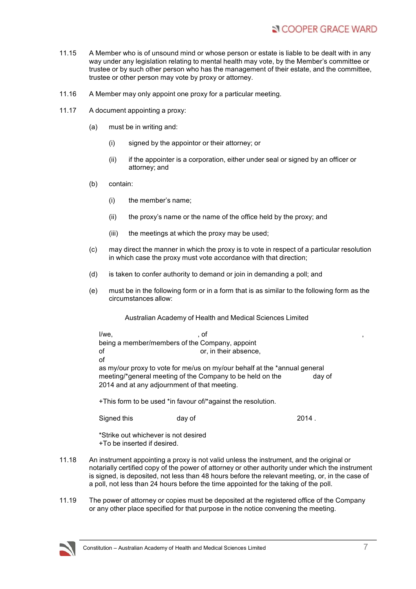- 11.15 A Member who is of unsound mind or whose person or estate is liable to be dealt with in any way under any legislation relating to mental health may vote, by the Member's committee or trustee or by such other person who has the management of their estate, and the committee, trustee or other person may vote by proxy or attorney.
- 11.16 A Member may only appoint one proxy for a particular meeting.
- 11.17 A document appointing a proxy:
	- (a) must be in writing and:
		- (i) signed by the appointor or their attorney; or
		- (ii) if the appointer is a corporation, either under seal or signed by an officer or attorney; and
	- (b) contain:
		- (i) the member's name;
		- (ii) the proxy's name or the name of the office held by the proxy; and
		- (iii) the meetings at which the proxy may be used;
	- (c) may direct the manner in which the proxy is to vote in respect of a particular resolution in which case the proxy must vote accordance with that direction;
	- (d) is taken to confer authority to demand or join in demanding a poll; and
	- (e) must be in the following form or in a form that is as similar to the following form as the circumstances allow:

Australian Academy of Health and Medical Sciences Limited

 $I/we$ ,  $I/we$ ,  $I/we$ ,  $I/we$ ,  $I/we$ ,  $I/we$ ,  $I/we$ ,  $I/we$ ,  $I/we$ ,  $I/we$ ,  $I/we$ ,  $I/we$ ,  $I/we$ ,  $I/we$ ,  $I/we$ ,  $I/we$ ,  $I/we$ ,  $I/we$ ,  $I/we$ ,  $I/we$ ,  $I/we$ ,  $I/we$ ,  $I/we$ ,  $I/we$ ,  $I/we$ ,  $I/we$ ,  $I/we$ ,  $I/we$ ,  $I/we$ ,  $I/we$ ,  $I/we$ ,  $I/we$ being a member/members of the Company, appoint of or, in their absence, of as my/our proxy to vote for me/us on my/our behalf at the \*annual general meeting/\*general meeting of the Company to be held on the day of 2014 and at any adjournment of that meeting.

+This form to be used \*in favour of/\*against the resolution.

Signed this day of 2014

\*Strike out whichever is not desired +To be inserted if desired.

- 11.18 An instrument appointing a proxy is not valid unless the instrument, and the original or notarially certified copy of the power of attorney or other authority under which the instrument is signed, is deposited, not less than 48 hours before the relevant meeting, or, in the case of a poll, not less than 24 hours before the time appointed for the taking of the poll.
- 11.19 The power of attorney or copies must be deposited at the registered office of the Company or any other place specified for that purpose in the notice convening the meeting.

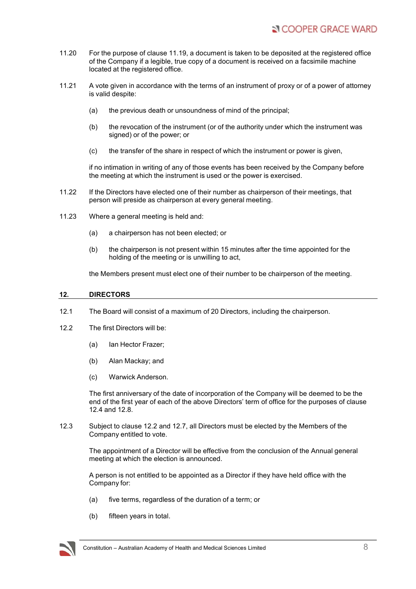- 11.20 For the purpose of clause 11.19, a document is taken to be deposited at the registered office of the Company if a legible, true copy of a document is received on a facsimile machine located at the registered office.
- 11.21 A vote given in accordance with the terms of an instrument of proxy or of a power of attorney is valid despite:
	- (a) the previous death or unsoundness of mind of the principal;
	- (b) the revocation of the instrument (or of the authority under which the instrument was signed) or of the power; or
	- (c) the transfer of the share in respect of which the instrument or power is given,

if no intimation in writing of any of those events has been received by the Company before the meeting at which the instrument is used or the power is exercised.

- 11.22 If the Directors have elected one of their number as chairperson of their meetings, that person will preside as chairperson at every general meeting.
- 11.23 Where a general meeting is held and:
	- (a) a chairperson has not been elected; or
	- (b) the chairperson is not present within 15 minutes after the time appointed for the holding of the meeting or is unwilling to act,

the Members present must elect one of their number to be chairperson of the meeting.

#### **12. DIRECTORS**

- 12.1 The Board will consist of a maximum of 20 Directors, including the chairperson.
- 12.2 The first Directors will be:
	- (a) Ian Hector Frazer;
	- (b) Alan Mackay; and
	- (c) Warwick Anderson.

The first anniversary of the date of incorporation of the Company will be deemed to be the end of the first year of each of the above Directors' term of office for the purposes of clause 12.4 and 12.8.

12.3 Subject to clause 12.2 and 12.7, all Directors must be elected by the Members of the Company entitled to vote.

> The appointment of a Director will be effective from the conclusion of the Annual general meeting at which the election is announced.

A person is not entitled to be appointed as a Director if they have held office with the Company for:

- (a) five terms, regardless of the duration of a term; or
- (b) fifteen years in total.

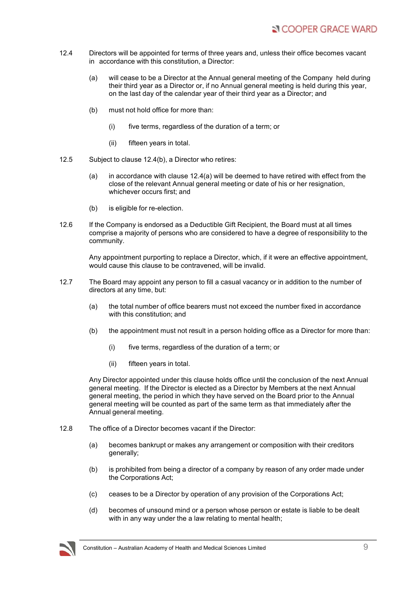- 12.4 Directors will be appointed for terms of three years and, unless their office becomes vacant in accordance with this constitution, a Director:
	- (a) will cease to be a Director at the Annual general meeting of the Company held during their third year as a Director or, if no Annual general meeting is held during this year, on the last day of the calendar year of their third year as a Director; and
	- (b) must not hold office for more than:
		- (i) five terms, regardless of the duration of a term; or
		- (ii) fifteen years in total.
- 12.5 Subject to clause 12.4(b), a Director who retires:
	- (a) in accordance with clause  $12.4(a)$  will be deemed to have retired with effect from the close of the relevant Annual general meeting or date of his or her resignation, whichever occurs first; and
	- (b) is eligible for re-election.
- 12.6 If the Company is endorsed as a Deductible Gift Recipient, the Board must at all times comprise a majority of persons who are considered to have a degree of responsibility to the community.

Any appointment purporting to replace a Director, which, if it were an effective appointment, would cause this clause to be contravened, will be invalid.

- 12.7 The Board may appoint any person to fill a casual vacancy or in addition to the number of directors at any time, but:
	- (a) the total number of office bearers must not exceed the number fixed in accordance with this constitution; and
	- (b) the appointment must not result in a person holding office as a Director for more than:
		- (i) five terms, regardless of the duration of a term; or
		- (ii) fifteen years in total.

Any Director appointed under this clause holds office until the conclusion of the next Annual general meeting. If the Director is elected as a Director by Members at the next Annual general meeting, the period in which they have served on the Board prior to the Annual general meeting will be counted as part of the same term as that immediately after the Annual general meeting.

- 12.8 The office of a Director becomes vacant if the Director:
	- (a) becomes bankrupt or makes any arrangement or composition with their creditors generally;
	- (b) is prohibited from being a director of a company by reason of any order made under the Corporations Act;
	- (c) ceases to be a Director by operation of any provision of the Corporations Act;
	- (d) becomes of unsound mind or a person whose person or estate is liable to be dealt with in any way under the a law relating to mental health;

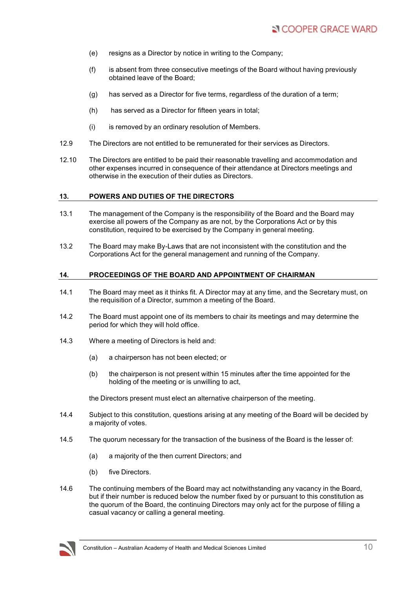- (e) resigns as a Director by notice in writing to the Company;
- (f) is absent from three consecutive meetings of the Board without having previously obtained leave of the Board;
- (g) has served as a Director for five terms, regardless of the duration of a term;
- (h) has served as a Director for fifteen years in total;
- (i) is removed by an ordinary resolution of Members.
- 12.9 The Directors are not entitled to be remunerated for their services as Directors.
- 12.10 The Directors are entitled to be paid their reasonable travelling and accommodation and other expenses incurred in consequence of their attendance at Directors meetings and otherwise in the execution of their duties as Directors.

#### **13. POWERS AND DUTIES OF THE DIRECTORS**

- 13.1 The management of the Company is the responsibility of the Board and the Board may exercise all powers of the Company as are not, by the Corporations Act or by this constitution, required to be exercised by the Company in general meeting.
- 13.2 The Board may make By-Laws that are not inconsistent with the constitution and the Corporations Act for the general management and running of the Company.

#### **14. PROCEEDINGS OF THE BOARD AND APPOINTMENT OF CHAIRMAN**

- 14.1 The Board may meet as it thinks fit. A Director may at any time, and the Secretary must, on the requisition of a Director, summon a meeting of the Board.
- 14.2 The Board must appoint one of its members to chair its meetings and may determine the period for which they will hold office.
- 14.3 Where a meeting of Directors is held and:
	- (a) a chairperson has not been elected; or
	- (b) the chairperson is not present within 15 minutes after the time appointed for the holding of the meeting or is unwilling to act,

the Directors present must elect an alternative chairperson of the meeting.

- 14.4 Subject to this constitution, questions arising at any meeting of the Board will be decided by a majority of votes.
- 14.5 The quorum necessary for the transaction of the business of the Board is the lesser of:
	- (a) a majority of the then current Directors; and
	- (b) five Directors.
- 14.6 The continuing members of the Board may act notwithstanding any vacancy in the Board, but if their number is reduced below the number fixed by or pursuant to this constitution as the quorum of the Board, the continuing Directors may only act for the purpose of filling a casual vacancy or calling a general meeting.

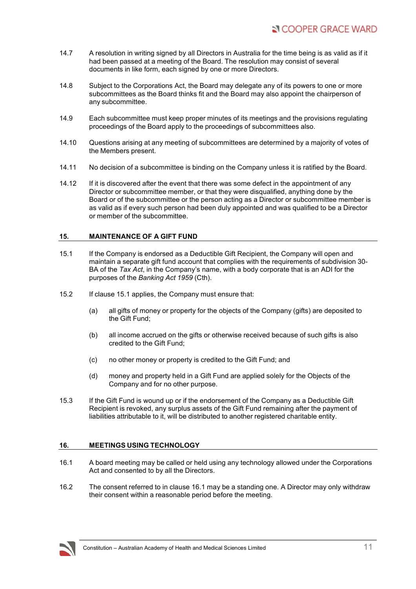- 14.7 A resolution in writing signed by all Directors in Australia for the time being is as valid as if it had been passed at a meeting of the Board. The resolution may consist of several documents in like form, each signed by one or more Directors.
- 14.8 Subject to the Corporations Act, the Board may delegate any of its powers to one or more subcommittees as the Board thinks fit and the Board may also appoint the chairperson of any subcommittee.
- 14.9 Each subcommittee must keep proper minutes of its meetings and the provisions regulating proceedings of the Board apply to the proceedings of subcommittees also.
- 14.10 Questions arising at any meeting of subcommittees are determined by a majority of votes of the Members present.
- 14.11 No decision of a subcommittee is binding on the Company unless it is ratified by the Board.
- 14.12 If it is discovered after the event that there was some defect in the appointment of any Director or subcommittee member, or that they were disqualified, anything done by the Board or of the subcommittee or the person acting as a Director or subcommittee member is as valid as if every such person had been duly appointed and was qualified to be a Director or member of the subcommittee.

#### **15. MAINTENANCE OF A GIFT FUND**

- 15.1 If the Company is endorsed as a Deductible Gift Recipient, the Company will open and maintain a separate gift fund account that complies with the requirements of subdivision 30- BA of the *Tax Act*, in the Company's name, with a body corporate that is an ADI for the purposes of the *Banking Act 1959* (Cth).
- 15.2 If clause 15.1 applies, the Company must ensure that:
	- (a) all gifts of money or property for the objects of the Company (gifts) are deposited to the Gift Fund;
	- (b) all income accrued on the gifts or otherwise received because of such gifts is also credited to the Gift Fund;
	- (c) no other money or property is credited to the Gift Fund; and
	- (d) money and property held in a Gift Fund are applied solely for the Objects of the Company and for no other purpose.
- 15.3 If the Gift Fund is wound up or if the endorsement of the Company as a Deductible Gift Recipient is revoked, any surplus assets of the Gift Fund remaining after the payment of liabilities attributable to it, will be distributed to another registered charitable entity.

# **16. MEETINGS USING TECHNOLOGY**

- 16.1 A board meeting may be called or held using any technology allowed under the Corporations Act and consented to by all the Directors.
- 16.2 The consent referred to in clause 16.1 may be a standing one. A Director may only withdraw their consent within a reasonable period before the meeting.

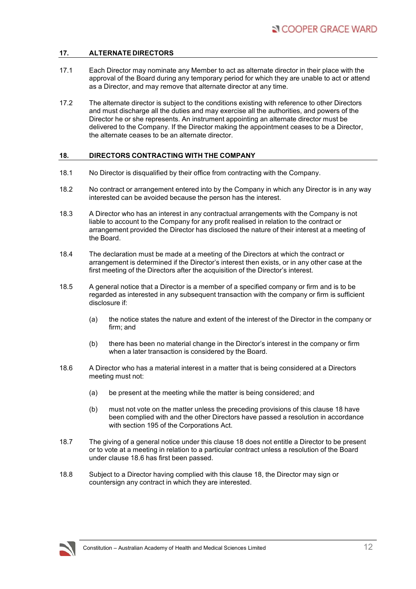# **17. ALTERNATE DIRECTORS**

- 17.1 Each Director may nominate any Member to act as alternate director in their place with the approval of the Board during any temporary period for which they are unable to act or attend as a Director, and may remove that alternate director at any time.
- 17.2 The alternate director is subject to the conditions existing with reference to other Directors and must discharge all the duties and may exercise all the authorities, and powers of the Director he or she represents. An instrument appointing an alternate director must be delivered to the Company. If the Director making the appointment ceases to be a Director, the alternate ceases to be an alternate director.

# **18. DIRECTORS CONTRACTING WITH THE COMPANY**

- 18.1 No Director is disqualified by their office from contracting with the Company.
- 18.2 No contract or arrangement entered into by the Company in which any Director is in any way interested can be avoided because the person has the interest.
- 18.3 A Director who has an interest in any contractual arrangements with the Company is not liable to account to the Company for any profit realised in relation to the contract or arrangement provided the Director has disclosed the nature of their interest at a meeting of the Board.
- 18.4 The declaration must be made at a meeting of the Directors at which the contract or arrangement is determined if the Director's interest then exists, or in any other case at the first meeting of the Directors after the acquisition of the Director's interest.
- 18.5 A general notice that a Director is a member of a specified company or firm and is to be regarded as interested in any subsequent transaction with the company or firm is sufficient disclosure if:
	- (a) the notice states the nature and extent of the interest of the Director in the company or firm; and
	- (b) there has been no material change in the Director's interest in the company or firm when a later transaction is considered by the Board.
- 18.6 A Director who has a material interest in a matter that is being considered at a Directors meeting must not:
	- (a) be present at the meeting while the matter is being considered; and
	- (b) must not vote on the matter unless the preceding provisions of this clause 18 have been complied with and the other Directors have passed a resolution in accordance with section 195 of the Corporations Act.
- 18.7 The giving of a general notice under this clause 18 does not entitle a Director to be present or to vote at a meeting in relation to a particular contract unless a resolution of the Board under clause 18.6 has first been passed.
- 18.8 Subject to a Director having complied with this clause 18, the Director may sign or countersign any contract in which they are interested.

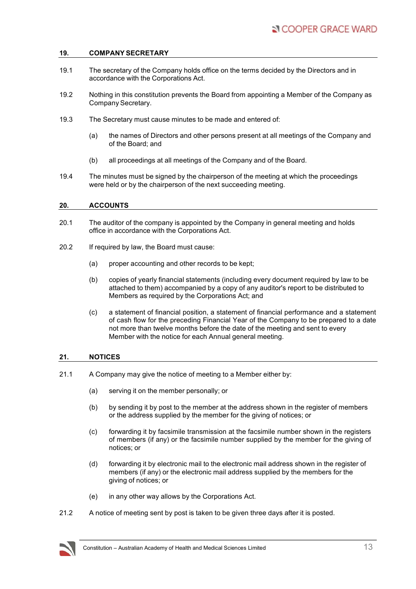## **19. COMPANY SECRETARY**

- 19.1 The secretary of the Company holds office on the terms decided by the Directors and in accordance with the Corporations Act.
- 19.2 Nothing in this constitution prevents the Board from appointing a Member of the Company as Company Secretary.
- 19.3 The Secretary must cause minutes to be made and entered of:
	- (a) the names of Directors and other persons present at all meetings of the Company and of the Board; and
	- (b) all proceedings at all meetings of the Company and of the Board.
- 19.4 The minutes must be signed by the chairperson of the meeting at which the proceedings were held or by the chairperson of the next succeeding meeting.

## **20. ACCOUNTS**

- 20.1 The auditor of the company is appointed by the Company in general meeting and holds office in accordance with the Corporations Act.
- 20.2 If required by law, the Board must cause:
	- (a) proper accounting and other records to be kept;
	- (b) copies of yearly financial statements (including every document required by law to be attached to them) accompanied by a copy of any auditor's report to be distributed to Members as required by the Corporations Act; and
	- (c) a statement of financial position, a statement of financial performance and a statement of cash flow for the preceding Financial Year of the Company to be prepared to a date not more than twelve months before the date of the meeting and sent to every Member with the notice for each Annual general meeting.

#### **21. NOTICES**

- 21.1 A Company may give the notice of meeting to a Member either by:
	- (a) serving it on the member personally; or
	- (b) by sending it by post to the member at the address shown in the register of members or the address supplied by the member for the giving of notices; or
	- (c) forwarding it by facsimile transmission at the facsimile number shown in the registers of members (if any) or the facsimile number supplied by the member for the giving of notices; or
	- (d) forwarding it by electronic mail to the electronic mail address shown in the register of members (if any) or the electronic mail address supplied by the members for the giving of notices; or
	- (e) in any other way allows by the Corporations Act.
- 21.2 A notice of meeting sent by post is taken to be given three days after it is posted.

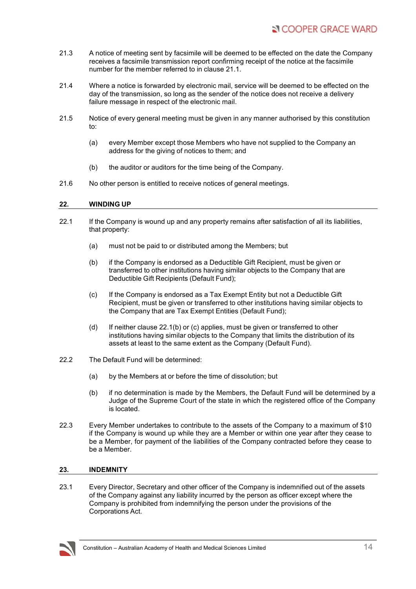- 21.3 A notice of meeting sent by facsimile will be deemed to be effected on the date the Company receives a facsimile transmission report confirming receipt of the notice at the facsimile number for the member referred to in clause 21.1.
- 21.4 Where a notice is forwarded by electronic mail, service will be deemed to be effected on the day of the transmission, so long as the sender of the notice does not receive a delivery failure message in respect of the electronic mail.
- 21.5 Notice of every general meeting must be given in any manner authorised by this constitution to:
	- (a) every Member except those Members who have not supplied to the Company an address for the giving of notices to them; and
	- (b) the auditor or auditors for the time being of the Company.
- 21.6 No other person is entitled to receive notices of general meetings.

#### **22. WINDING UP**

- 22.1 If the Company is wound up and any property remains after satisfaction of all its liabilities, that property:
	- (a) must not be paid to or distributed among the Members; but
	- (b) if the Company is endorsed as a Deductible Gift Recipient, must be given or transferred to other institutions having similar objects to the Company that are Deductible Gift Recipients (Default Fund);
	- (c) If the Company is endorsed as a Tax Exempt Entity but not a Deductible Gift Recipient, must be given or transferred to other institutions having similar objects to the Company that are Tax Exempt Entities (Default Fund);
	- (d) If neither clause 22.1(b) or (c) applies, must be given or transferred to other institutions having similar objects to the Company that limits the distribution of its assets at least to the same extent as the Company (Default Fund).
- 22.2 The Default Fund will be determined:
	- (a) by the Members at or before the time of dissolution; but
	- (b) if no determination is made by the Members, the Default Fund will be determined by a Judge of the Supreme Court of the state in which the registered office of the Company is located.
- 22.3 Every Member undertakes to contribute to the assets of the Company to a maximum of \$10 if the Company is wound up while they are a Member or within one year after they cease to be a Member, for payment of the liabilities of the Company contracted before they cease to be a Member.

#### **23. INDEMNITY**

23.1 Every Director, Secretary and other officer of the Company is indemnified out of the assets of the Company against any liability incurred by the person as officer except where the Company is prohibited from indemnifying the person under the provisions of the Corporations Act.